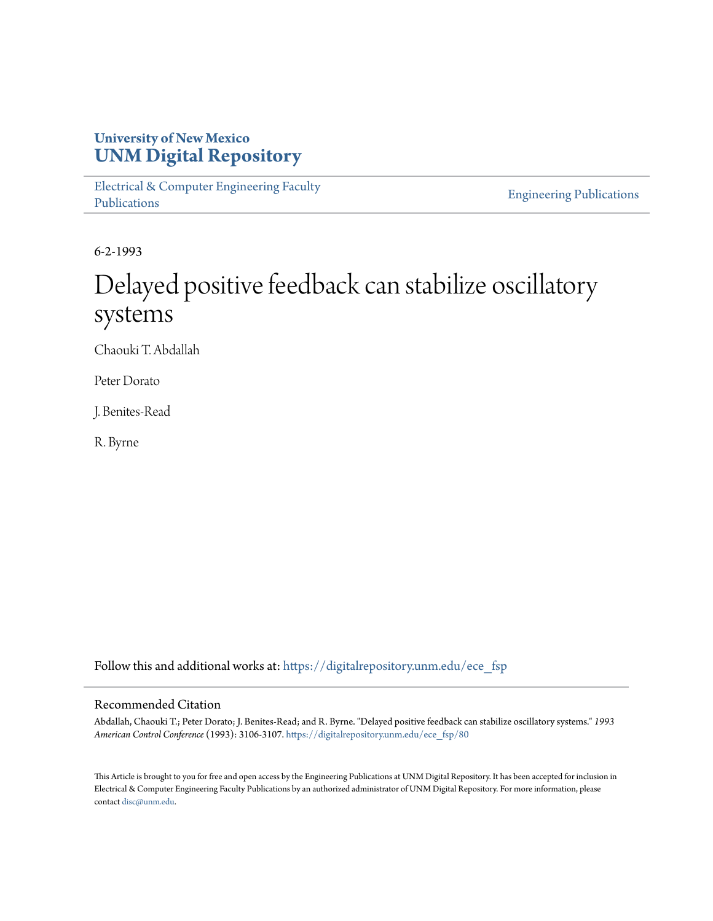# **University of New Mexico [UNM Digital Repository](https://digitalrepository.unm.edu?utm_source=digitalrepository.unm.edu%2Fece_fsp%2F80&utm_medium=PDF&utm_campaign=PDFCoverPages)**

[Electrical & Computer Engineering Faculty](https://digitalrepository.unm.edu/ece_fsp?utm_source=digitalrepository.unm.edu%2Fece_fsp%2F80&utm_medium=PDF&utm_campaign=PDFCoverPages) [Publications](https://digitalrepository.unm.edu/ece_fsp?utm_source=digitalrepository.unm.edu%2Fece_fsp%2F80&utm_medium=PDF&utm_campaign=PDFCoverPages)

[Engineering Publications](https://digitalrepository.unm.edu/eng_fsp?utm_source=digitalrepository.unm.edu%2Fece_fsp%2F80&utm_medium=PDF&utm_campaign=PDFCoverPages)

6-2-1993

# Delayed positive feedback can stabilize oscillatory systems

Chaouki T. Abdallah

Peter Dorato

J. Benites-Read

R. Byrne

Follow this and additional works at: [https://digitalrepository.unm.edu/ece\\_fsp](https://digitalrepository.unm.edu/ece_fsp?utm_source=digitalrepository.unm.edu%2Fece_fsp%2F80&utm_medium=PDF&utm_campaign=PDFCoverPages)

## Recommended Citation

Abdallah, Chaouki T.; Peter Dorato; J. Benites-Read; and R. Byrne. "Delayed positive feedback can stabilize oscillatory systems." *1993 American Control Conference* (1993): 3106-3107. [https://digitalrepository.unm.edu/ece\\_fsp/80](https://digitalrepository.unm.edu/ece_fsp/80?utm_source=digitalrepository.unm.edu%2Fece_fsp%2F80&utm_medium=PDF&utm_campaign=PDFCoverPages)

This Article is brought to you for free and open access by the Engineering Publications at UNM Digital Repository. It has been accepted for inclusion in Electrical & Computer Engineering Faculty Publications by an authorized administrator of UNM Digital Repository. For more information, please contact [disc@unm.edu.](mailto:disc@unm.edu)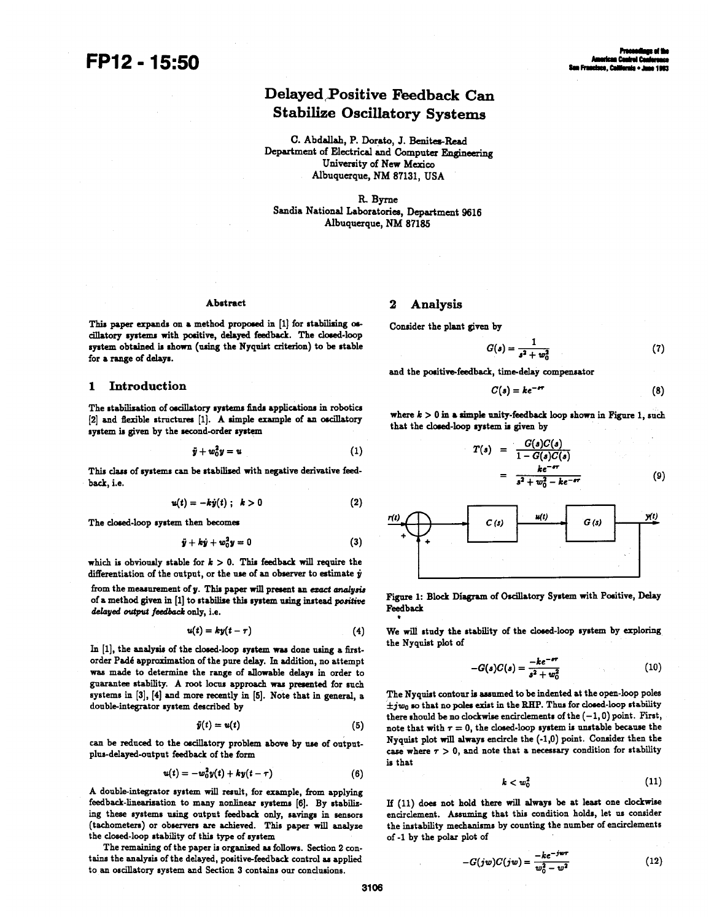# Delayed-Positive Feedback Can Stabilize Oscillatory Systems

C. Abdallab, P. Dorato, J. Benites-Read Department of Electrical and Computer Engineering University of New Mexico Albuquerque, NM 87131, USA

R. Byrne Sandia National Laboratories, Department 9616 Albuquerque, NM <sup>87185</sup>

#### Abstract

#### 2 Analysis

Consider the plant given by

$$
G(s) = \frac{1}{s^2 + w_0^2}
$$
 (7)

and the positive-feedback, time-delay compensator

$$
C(s) = ke^{-\epsilon r} \tag{8}
$$

where  $k > 0$  in a simple unity-feedback loop shown in Figure 1, such that the closed-loop system is given by

$$
T(s) = \frac{G(s)C(s)}{1 - G(s)C(s)}
$$
  
= 
$$
\frac{ke^{-\epsilon r}}{s^2 + w_0^2 - ke^{-\epsilon r}}
$$
 (9)



Figure 1: Block Diagram of Oscilatory System with Positive, Delay Feedback

We will study the stability of the closed-loop system by exploring the Nyquist plot of

$$
-G(s)C(s) = \frac{-ke^{-\epsilon r}}{s^2 + w_0^2}
$$
 (10)

The Nyquist contour is asumed to be indented at the open-loop poles  $\pm jw_0$  so that no poles exist in the RHP. Thus for closed-loop stability there should be no clockwise encirclements of the  $(-1, 0)$  point. First, note that with  $r = 0$ , the closed-loop system is unstable because the Nyquist plot will always encircle the (-1,0) point. Consider then the case where  $\tau > 0$ , and note that a necessary condition for stability is that

$$
k < w_0^2 \tag{11}
$$

If (11) does not hold there will always be at least one dockwise encirclement. Assuming that this condition holds, let us consider the instability mechanisms by counting the number of encirclements of-1 by the polar plot of

$$
-G(jw)C(jw) = \frac{-ke^{-jwr}}{w_0^2 - w^2}
$$
 (12)

This paper expands on a method proposed in [1] for stabilising oscillatory systems with positive, delayed feedback. The closed-loop sytem obtained is shown (using the Nyquist criterion) to be stable for a range of delays.

#### 1 Introduction

The stabilization of oscilatory systems finds applications in robotics  $[2]$  and flexible structures  $[1]$ . A simple example of an oscillatory system is given by the second-order sytem

$$
\ddot{y} + w_0^2 y = u \tag{1}
$$

This class of systems can be stabilized with negative derivative feedback, i.e.

$$
u(t) = -ky(t) ; k > 0
$$
 (2)

The dosed-loop system then becomes

$$
\ddot{y} + k\dot{y} + w_0^2 y = 0 \tag{3}
$$

which is obviously stable for  $k > 0$ . This feedback will require the differentiation of the output, or the use of an observer to estimate  $\dot{y}$ 

from the measurement of y. This paper will present an ezact analysis of a method given in [1] to stabilize this system using intead positive delayed output feedback only, i.e.

$$
u(t) = ky(t-\tau) \tag{4}
$$

In  $[1]$ , the analysis of the closed-loop system was done using a firstorder Padd approximation of the pure delay. In addition, no attempt was made to determine the range of allowable delays in order to guarantee stability. A root locus approach was presented for such systems in [3], [4] and more recently in [5]. Note that in general, a double-integrator system described by

$$
\bar{y}(t) = u(t) \tag{5}
$$

can be reduced to the oscillatory problem above by use of outputplus-delayed-output feedback of the form

$$
u(t) = -w_0^2 y(t) + k y(t - \tau)
$$
 (6)

A double-integrator system will result, for example, from applying feedback-linearization to many nonlinear systems [6]. By stabilizing these systems using output feedback only, savings in sensors (tachometers) or observers are achieved. This paper will analyze the closed-loop stability of this type of system

The remaining of the paper is organized as follows. Section 2 contains the analysis of the delayed, positive-feedback control as applied to an oscillatory system and Section 3 contains our condusions.